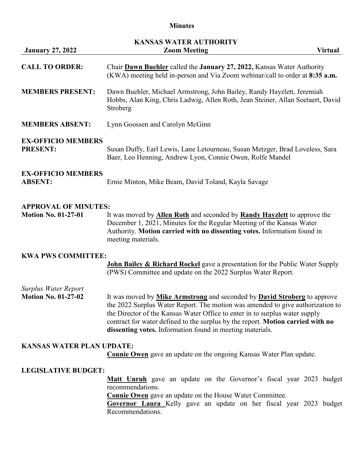# **Minutes**

|                                                    | <b>KANSAS WATER AUTHORITY</b>                                                                                                                                                                                                                                                                                                                                                                           |
|----------------------------------------------------|---------------------------------------------------------------------------------------------------------------------------------------------------------------------------------------------------------------------------------------------------------------------------------------------------------------------------------------------------------------------------------------------------------|
| <b>January 27, 2022</b>                            | <b>Zoom Meeting</b><br><b>Virtual</b>                                                                                                                                                                                                                                                                                                                                                                   |
| <b>CALL TO ORDER:</b>                              | Chair Dawn Buehler called the January 27, 2022, Kansas Water Authority<br>(KWA) meeting held in-person and Via Zoom webinar/call to order at 8:35 a.m.                                                                                                                                                                                                                                                  |
| <b>MEMBERS PRESENT:</b>                            | Dawn Buehler, Michael Armstrong, John Bailey, Randy Hayzlett, Jeremiah<br>Hobbs, Alan King, Chris Ladwig, Allen Roth, Jean Steiner, Allan Soetaert, David<br>Stroberg                                                                                                                                                                                                                                   |
| <b>MEMBERS ABSENT:</b>                             | Lynn Goossen and Carolyn McGinn                                                                                                                                                                                                                                                                                                                                                                         |
| <b>EX-OFFICIO MEMBERS</b>                          |                                                                                                                                                                                                                                                                                                                                                                                                         |
| <b>PRESENT:</b>                                    | Susan Duffy, Earl Lewis, Lane Letourneau, Susan Metzger, Brad Loveless, Sara<br>Baer, Leo Henning, Andrew Lyon, Connie Owen, Rolfe Mandel                                                                                                                                                                                                                                                               |
| <b>EX-OFFICIO MEMBERS</b><br><b>ABSENT:</b>        | Ernie Minton, Mike Beam, David Toland, Kayla Savage                                                                                                                                                                                                                                                                                                                                                     |
| <b>APPROVAL OF MINUTES:</b>                        |                                                                                                                                                                                                                                                                                                                                                                                                         |
| <b>Motion No. 01-27-01</b>                         | It was moved by <b>Allen Roth</b> and seconded by <b>Randy Hayzlett</b> to approve the<br>December 1, 2021, Minutes for the Regular Meeting of the Kansas Water<br>Authority. Motion carried with no dissenting votes. Information found in<br>meeting materials.                                                                                                                                       |
| <b>KWA PWS COMMITTEE:</b>                          |                                                                                                                                                                                                                                                                                                                                                                                                         |
|                                                    | <b>John Bailey &amp; Richard Rockel</b> gave a presentation for the Public Water Supply<br>(PWS) Committee and update on the 2022 Surplus Water Report.                                                                                                                                                                                                                                                 |
| Surplus Water Report<br><b>Motion No. 01-27-02</b> | It was moved by <b>Mike Armstrong</b> and seconded by <b>David Stroberg</b> to approve<br>the 2022 Surplus Water Report. The motion was amended to give authorization to<br>the Director of the Kansas Water Office to enter in to surplus water supply<br>contract for water defined to the surplus by the report. Motion carried with no<br>dissenting votes. Information found in meeting materials. |
| <b>KANSAS WATER PLAN UPDATE:</b>                   | <b>Connie Owen</b> gave an update on the ongoing Kansas Water Plan update.                                                                                                                                                                                                                                                                                                                              |
|                                                    |                                                                                                                                                                                                                                                                                                                                                                                                         |
| <b>LEGISLATIVE BUDGET:</b>                         |                                                                                                                                                                                                                                                                                                                                                                                                         |
|                                                    | <b>Matt Unruh</b> gave an update on the Governor's fiscal year 2023 budget<br>recommendations.                                                                                                                                                                                                                                                                                                          |
|                                                    | <b>Connie Owen</b> gave an update on the House Water Committee.<br>Governor Laura Kelly gave an update on her fiscal year 2023 budget<br>Recommendations.                                                                                                                                                                                                                                               |
|                                                    |                                                                                                                                                                                                                                                                                                                                                                                                         |